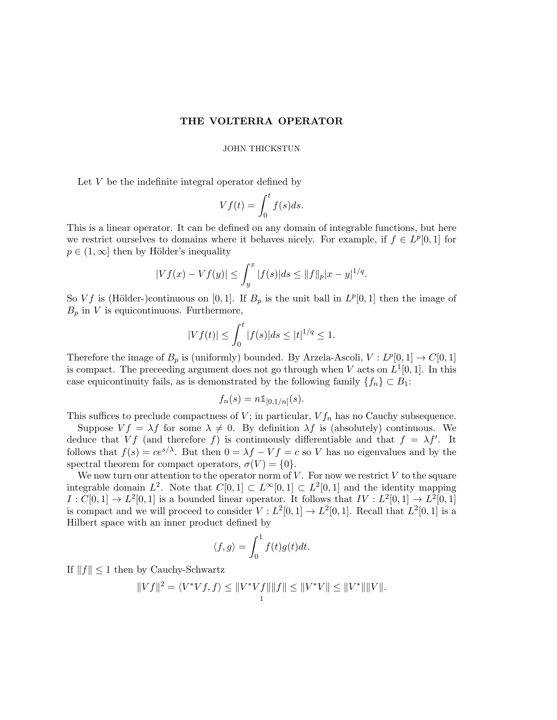# THE VOLTERRA OPERATOR

## JOHN THICKSTUN

Let V be the indefinite integral operator defined by

$$
Vf(t) = \int_0^t f(s)ds.
$$

This is a linear operator. It can be defined on any domain of integrable functions, but here we restrict ourselves to domains where it behaves nicely. For example, if  $f \in L^p[0,1]$  for  $p \in (1,\infty]$  then by Hölder's inequality

$$
|Vf(x) - Vf(y)| \le \int_y^x |f(s)|ds \le ||f||_p |x - y|^{1/q}.
$$

So Vf is (Hölder-)continuous on [0, 1]. If  $B_p$  is the unit ball in  $L^p[0,1]$  then the image of  $B_p$  in V is equicontinuous. Furthermore,

$$
|Vf(t)| \le \int_0^t |f(s)|ds \le |t|^{1/q} \le 1.
$$

Therefore the image of  $B_p$  is (uniformly) bounded. By Arzela-Ascoli,  $V: L^p[0,1] \to C[0,1]$ is compact. The preceeding argument does not go through when V acts on  $L^1[0,1]$ . In this case equicontinuity fails, as is demonstrated by the following family  $\{f_n\} \subset B_1$ :

$$
f_n(s) = n \mathbb{1}_{[0,1/n]}(s).
$$

This suffices to preclude compactness of  $V$ ; in particular,  $V f_n$  has no Cauchy subsequence.

Suppose  $V f = \lambda f$  for some  $\lambda \neq 0$ . By definition  $\lambda f$  is (absolutely) continuous. We deduce that Vf (and therefore f) is continuously differentiable and that  $f = \lambda f'$ . It follows that  $f(s) = ce^{s/\lambda}$ . But then  $0 = \lambda f - Vf = c$  so V has no eigenvalues and by the spectral theorem for compact operators,  $\sigma(V) = \{0\}.$ 

We now turn our attention to the operator norm of  $V$ . For now we restrict  $V$  to the square integrable domain  $L^2$ . Note that  $C[0,1] \subset L^{\infty}[0,1] \subset L^2[0,1]$  and the identity mapping  $I: C[0,1] \to L^2[0,1]$  is a bounded linear operator. It follows that  $IV: L^2[0,1] \to L^2[0,1]$ is compact and we will proceed to consider  $V : L^2[0,1] \to L^2[0,1]$ . Recall that  $L^2[0,1]$  is a Hilbert space with an inner product defined by

$$
\langle f, g \rangle = \int_0^1 f(t)g(t)dt.
$$

If  $||f|| \leq 1$  then by Cauchy-Schwartz

$$
||Vf||2 = \langle V^*Vf, f \rangle \le ||V^*Vf|| ||f|| \le ||V^*V|| \le ||V^*|| ||V||.
$$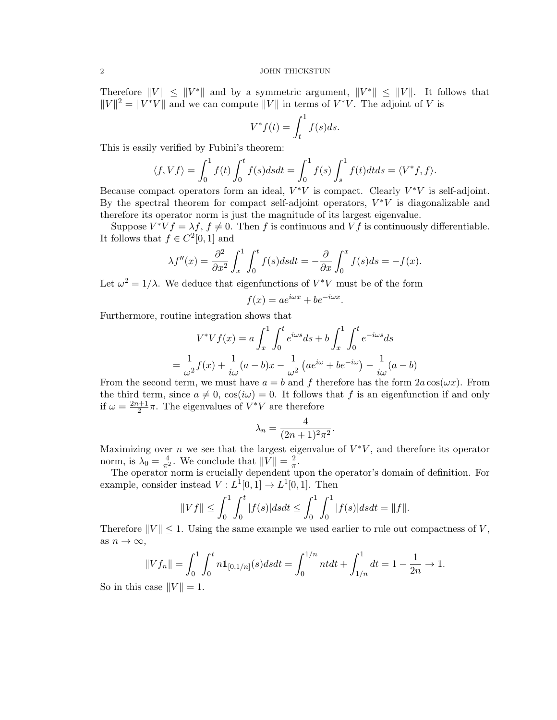#### 2 JOHN THICKSTUN

Therefore  $||V|| \le ||V^*||$  and by a symmetric argument,  $||V^*|| \le ||V||$ . It follows that  $||V||^2 = ||V^*V||$  and we can compute  $||V||$  in terms of  $V^*V$ . The adjoint of V is

$$
V^*f(t) = \int_t^1 f(s)ds.
$$

This is easily verified by Fubini's theorem:

$$
\langle f, Vf \rangle = \int_0^1 f(t) \int_0^t f(s) ds dt = \int_0^1 f(s) \int_s^1 f(t) dt ds = \langle V^* f, f \rangle.
$$

Because compact operators form an ideal,  $V^*V$  is compact. Clearly  $V^*V$  is self-adjoint. By the spectral theorem for compact self-adjoint operators,  $V^*V$  is diagonalizable and therefore its operator norm is just the magnitude of its largest eigenvalue.

Suppose  $V^*Vf = \lambda f$ ,  $f \neq 0$ . Then f is continuous and Vf is continuously differentiable. It follows that  $f \in C^2[0,1]$  and

$$
\lambda f''(x) = \frac{\partial^2}{\partial x^2} \int_x^1 \int_0^t f(s) ds dt = -\frac{\partial}{\partial x} \int_0^x f(s) ds = -f(x).
$$

Let  $\omega^2 = 1/\lambda$ . We deduce that eigenfunctions of  $V^*V$  must be of the form

$$
f(x) = ae^{i\omega x} + be^{-i\omega x}
$$

.

.

Furthermore, routine integration shows that

$$
V^*Vf(x) = a \int_x^1 \int_0^t e^{i\omega s} ds + b \int_x^1 \int_0^t e^{-i\omega s} ds
$$

$$
= \frac{1}{\omega^2} f(x) + \frac{1}{i\omega} (a - b)x - \frac{1}{\omega^2} (ae^{i\omega} + be^{-i\omega}) - \frac{1}{i\omega} (a - b)
$$

From the second term, we must have  $a = b$  and f therefore has the form  $2a \cos(\omega x)$ . From the third term, since  $a \neq 0$ ,  $\cos(i\omega) = 0$ . It follows that f is an eigenfunction if and only if  $\omega = \frac{2n+1}{2}$  $\frac{\nu+1}{2}\pi$ . The eigenvalues of  $V^*V$  are therefore

$$
\lambda_n = \frac{4}{(2n+1)^2 \pi^2}
$$

Maximizing over n we see that the largest eigenvalue of  $V^*V$ , and therefore its operator norm, is  $\lambda_0 = \frac{4}{\pi^2}$ . We conclude that  $||V|| = \frac{2}{\pi}$  $\frac{2}{\pi}$ .

The operator norm is crucially dependent upon the operator's domain of definition. For example, consider instead  $V: L^1[0,1] \to L^1[0,1]$ . Then

$$
||Vf|| \le \int_0^1 \int_0^t |f(s)| ds dt \le \int_0^1 \int_0^1 |f(s)| ds dt = ||f||.
$$

Therefore  $||V|| \leq 1$ . Using the same example we used earlier to rule out compactness of V, as  $n \to \infty$ ,

$$
||Vf_n|| = \int_0^1 \int_0^t n \mathbb{1}_{[0,1/n]}(s) ds dt = \int_0^{1/n} n t dt + \int_{1/n}^1 dt = 1 - \frac{1}{2n} \to 1.
$$

So in this case  $||V|| = 1$ .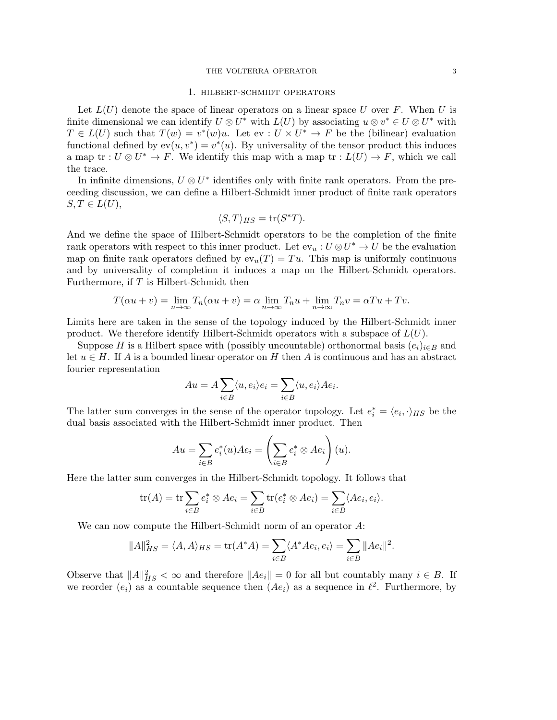## THE VOLTERRA OPERATOR 3

### 1. hilbert-schmidt operators

Let  $L(U)$  denote the space of linear operators on a linear space U over F. When U is finite dimensional we can identify  $U \otimes U^*$  with  $L(U)$  by associating  $u \otimes v^* \in U \otimes U^*$  with  $T \in L(U)$  such that  $T(w) = v^*(w)u$ . Let  $ev : U \times U^* \to F$  be the (bilinear) evaluation functional defined by  $ev(u, v^*) = v^*(u)$ . By universality of the tensor product this induces a map tr :  $U \otimes U^* \to F$ . We identify this map with a map tr :  $L(U) \to F$ , which we call the trace.

In infinite dimensions,  $U \otimes U^*$  identifies only with finite rank operators. From the preceeding discussion, we can define a Hilbert-Schmidt inner product of finite rank operators  $S, T \in L(U),$ 

$$
\langle S, T \rangle_{HS} = \text{tr}(S^*T).
$$

And we define the space of Hilbert-Schmidt operators to be the completion of the finite rank operators with respect to this inner product. Let  $ev_u: U \otimes U^* \to U$  be the evaluation map on finite rank operators defined by  $ev_u(T) = Tu$ . This map is uniformly continuous and by universality of completion it induces a map on the Hilbert-Schmidt operators. Furthermore, if  $T$  is Hilbert-Schmidt then

$$
T(\alpha u + v) = \lim_{n \to \infty} T_n(\alpha u + v) = \alpha \lim_{n \to \infty} T_n u + \lim_{n \to \infty} T_n v = \alpha T u + T v.
$$

Limits here are taken in the sense of the topology induced by the Hilbert-Schmidt inner product. We therefore identify Hilbert-Schmidt operators with a subspace of  $L(U)$ .

Suppose H is a Hilbert space with (possibly uncountable) orthonormal basis  $(e_i)_{i\in B}$  and let  $u \in H$ . If A is a bounded linear operator on H then A is continuous and has an abstract fourier representation

$$
Au = A \sum_{i \in B} \langle u, e_i \rangle e_i = \sum_{i \in B} \langle u, e_i \rangle A e_i.
$$

The latter sum converges in the sense of the operator topology. Let  $e_i^* = \langle e_i, \cdot \rangle_{HS}$  be the dual basis associated with the Hilbert-Schmidt inner product. Then

$$
Au = \sum_{i \in B} e_i^*(u) A e_i = \left(\sum_{i \in B} e_i^* \otimes A e_i\right)(u).
$$

Here the latter sum converges in the Hilbert-Schmidt topology. It follows that

$$
\operatorname{tr}(A) = \operatorname{tr} \sum_{i \in B} e_i^* \otimes A e_i = \sum_{i \in B} \operatorname{tr} (e_i^* \otimes A e_i) = \sum_{i \in B} \langle A e_i, e_i \rangle.
$$

We can now compute the Hilbert-Schmidt norm of an operator A:

$$
||A||_{HS}^2 = \langle A, A \rangle_{HS} = \text{tr}(A^*A) = \sum_{i \in B} \langle A^*Ae_i, e_i \rangle = \sum_{i \in B} ||Ae_i||^2.
$$

Observe that  $||A||_{HS}^2 < \infty$  and therefore  $||Ae_i|| = 0$  for all but countably many  $i \in B$ . If we reorder  $(e_i)$  as a countable sequence then  $(Ae_i)$  as a sequence in  $\ell^2$ . Furthermore, by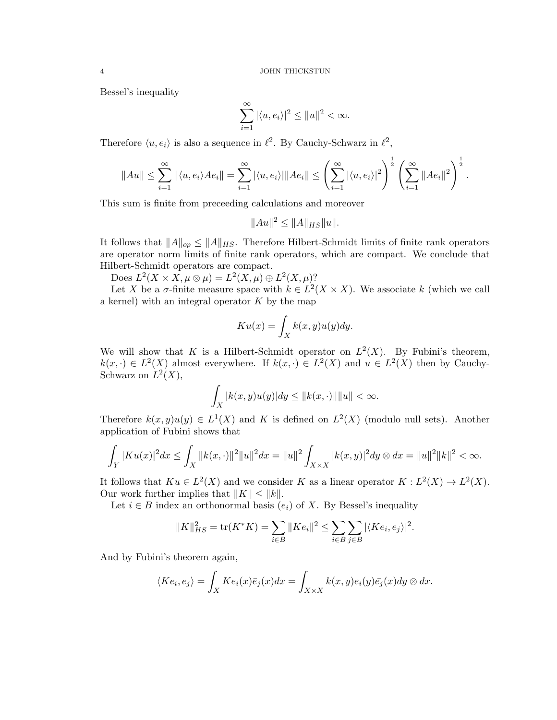Bessel's inequality

$$
\sum_{i=1}^{\infty} |\langle u, e_i \rangle|^2 \le ||u||^2 < \infty.
$$

Therefore  $\langle u, e_i \rangle$  is also a sequence in  $\ell^2$ . By Cauchy-Schwarz in  $\ell^2$ ,

$$
||Au|| \leq \sum_{i=1}^{\infty} ||\langle u, e_i \rangle Ae_i|| = \sum_{i=1}^{\infty} |\langle u, e_i \rangle| ||Ae_i|| \leq \left(\sum_{i=1}^{\infty} |\langle u, e_i \rangle|^2\right)^{\frac{1}{2}} \left(\sum_{i=1}^{\infty} ||Ae_i||^2\right)^{\frac{1}{2}}.
$$

This sum is finite from preceeding calculations and moreover

$$
||Au||^2 \le ||A||_{HS} ||u||.
$$

It follows that  $||A||_{op} \le ||A||_{HS}$ . Therefore Hilbert-Schmidt limits of finite rank operators are operator norm limits of finite rank operators, which are compact. We conclude that Hilbert-Schmidt operators are compact.

Does  $L^2(X \times X, \mu \otimes \mu) = L^2(X, \mu) \oplus L^2(X, \mu)$ ?

Let X be a  $\sigma$ -finite measure space with  $k \in L^2(X \times X)$ . We associate k (which we call a kernel) with an integral operator  $K$  by the map

$$
Ku(x) = \int_X k(x, y)u(y)dy.
$$

We will show that K is a Hilbert-Schmidt operator on  $L^2(X)$ . By Fubini's theorem,  $k(x, \cdot) \in L^2(X)$  almost everywhere. If  $k(x, \cdot) \in L^2(X)$  and  $u \in L^2(X)$  then by Cauchy-Schwarz on  $L^2(X)$ ,

$$
\int_X |k(x,y)u(y)| dy \le ||k(x, \cdot)|| ||u|| < \infty.
$$

Therefore  $k(x, y)u(y) \in L^1(X)$  and K is defined on  $L^2(X)$  (modulo null sets). Another application of Fubini shows that

$$
\int_Y |K u(x)|^2 dx \le \int_X ||k(x, \cdot)||^2 ||u||^2 dx = ||u||^2 \int_{X \times X} |k(x, y)|^2 dy \otimes dx = ||u||^2 ||k||^2 < \infty.
$$

It follows that  $Ku \in L^2(X)$  and we consider K as a linear operator  $K: L^2(X) \to L^2(X)$ . Our work further implies that  $||K|| \le ||k||$ .

Let  $i \in B$  index an orthonormal basis  $(e_i)$  of X. By Bessel's inequality

$$
||K||_{HS}^2 = \text{tr}(K^*K) = \sum_{i \in B} ||Ke_i||^2 \le \sum_{i \in B} \sum_{j \in B} |\langle Ke_i, e_j \rangle|^2.
$$

And by Fubini's theorem again,

$$
\langle Ke_i, e_j \rangle = \int_X Ke_i(x)\overline{e}_j(x)dx = \int_{X \times X} k(x, y)e_i(y)\overline{e}_j(x)dy \otimes dx.
$$